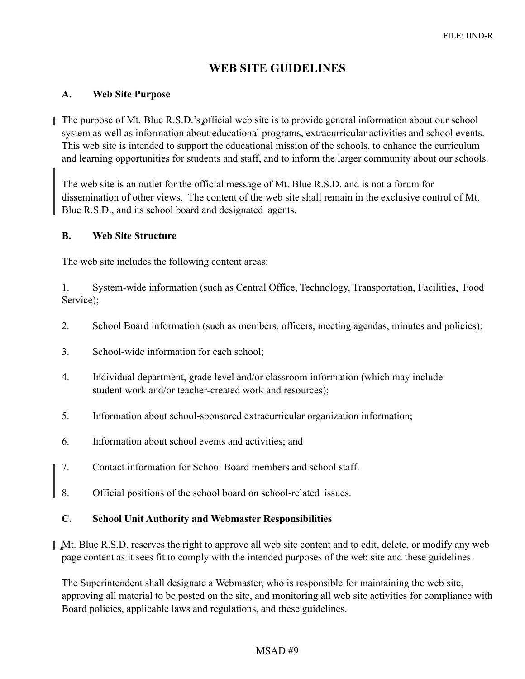# **WEB SITE GUIDELINES**

## **A. Web Site Purpose**

 $\blacksquare$  The purpose of Mt. Blue R.S.D.'s official web site is to provide general information about our school system as well as information about educational programs, extracurricular activities and school events. This web site is intended to support the educational mission of the schools, to enhance the curriculum and learning opportunities for students and staff, and to inform the larger community about our schools.

The web site is an outlet for the official message of Mt. Blue R.S.D. and is not a forum for dissemination of other views. The content of the web site shall remain in the exclusive control of Mt. Blue R.S.D., and its school board and designated agents.

#### **B. Web Site Structure**

The web site includes the following content areas:

1. System-wide information (such as Central Office, Technology, Transportation, Facilities, Food Service);

- 2. School Board information (such as members, officers, meeting agendas, minutes and policies);
- 3. School-wide information for each school;
- 4. Individual department, grade level and/or classroom information (which may include student work and/or teacher-created work and resources);
- 5. Information about school-sponsored extracurricular organization information;
- 6. Information about school events and activities; and
- 7. Contact information for School Board members and school staff.
- 8. Official positions of the school board on school-related issues.

#### **C. School Unit Authority and Webmaster Responsibilities**

0Mt. Blue R.S.D. reserves the right to approve all web site content and to edit, delete, or modify any web page content as it sees fit to comply with the intended purposes of the web site and these guidelines.

The Superintendent shall designate a Webmaster, who is responsible for maintaining the web site, approving all material to be posted on the site, and monitoring all web site activities for compliance with Board policies, applicable laws and regulations, and these guidelines.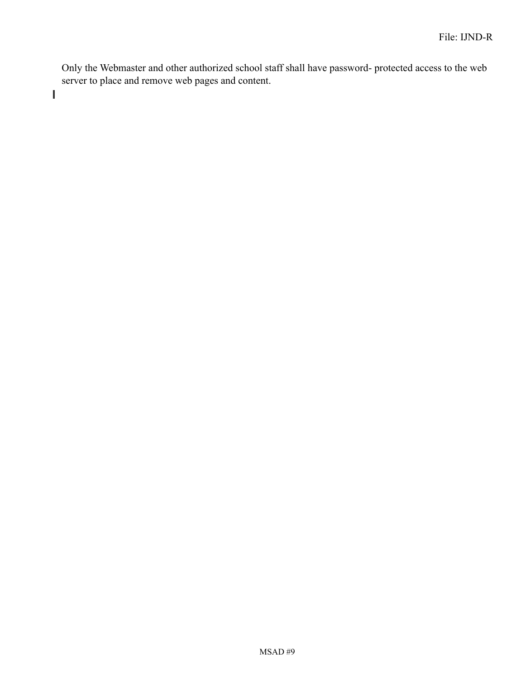Only the Webmaster and other authorized school staff shall have password- protected access to the web server to place and remove web pages and content.

I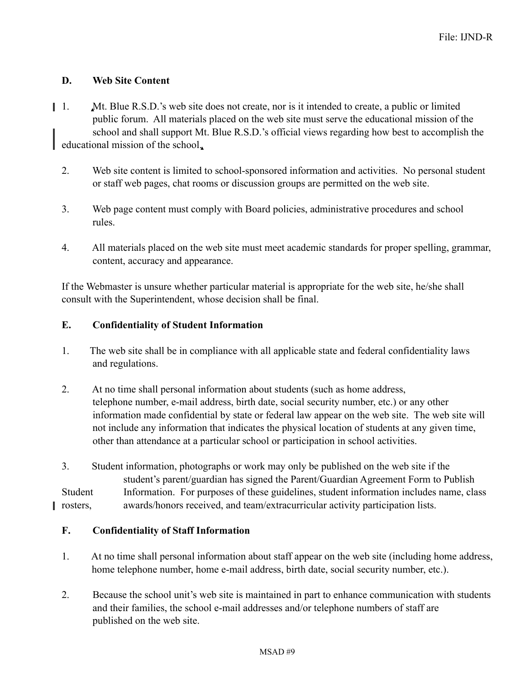# **D. Web Site Content**

- 1. 0Mt. Blue R.S.D.'s web site does not create, nor is it intended to create, a public or limited public forum. All materials placed on the web site must serve the educational mission of the school and shall support Mt. Blue R.S.D.'s official views regarding how best to accomplish the educational mission of the school.
	- 2. Web site content is limited to school-sponsored information and activities. No personal student or staff web pages, chat rooms or discussion groups are permitted on the web site.
	- 3. Web page content must comply with Board policies, administrative procedures and school rules.
	- 4. All materials placed on the web site must meet academic standards for proper spelling, grammar, content, accuracy and appearance.

If the Webmaster is unsure whether particular material is appropriate for the web site, he/she shall consult with the Superintendent, whose decision shall be final.

#### **E. Confidentiality of Student Information**

- 1. The web site shall be in compliance with all applicable state and federal confidentiality laws and regulations.
- 2. At no time shall personal information about students (such as home address, telephone number, e-mail address, birth date, social security number, etc.) or any other information made confidential by state or federal law appear on the web site. The web site will not include any information that indicates the physical location of students at any given time, other than attendance at a particular school or participation in school activities.
- 3. Student information, photographs or work may only be published on the web site if the student's parent/guardian has signed the Parent/Guardian Agreement Form to Publish Student Information. For purposes of these guidelines, student information includes name, class rosters, awards/honors received, and team/extracurricular activity participation lists.

#### **F. Confidentiality of Staff Information**

- 1. At no time shall personal information about staff appear on the web site (including home address, home telephone number, home e-mail address, birth date, social security number, etc.).
- 2. Because the school unit's web site is maintained in part to enhance communication with students and their families, the school e-mail addresses and/or telephone numbers of staff are published on the web site.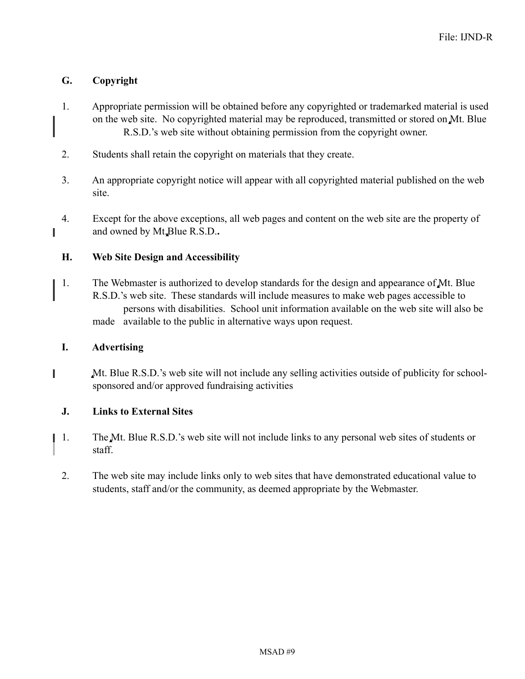# **G. Copyright**

- 1. Appropriate permission will be obtained before any copyrighted or trademarked material is used on the web site. No copyrighted material may be reproduced, transmitted or stored on Mt. Blue R.S.D.'s web site without obtaining permission from the copyright owner.
- 2. Students shall retain the copyright on materials that they create.
- 3. An appropriate copyright notice will appear with all copyrighted material published on the web site.
- 4. Except for the above exceptions, all web pages and content on the web site are the property of and owned by Mt<sub>.</sub>Blue R<sub>.S.D.</sub>.

# **H. Web Site Design and Accessibility**

1. The Webmaster is authorized to develop standards for the design and appearance of Mt. Blue R.S.D.'s web site. These standards will include measures to make web pages accessible to persons with disabilities. School unit information available on the web site will also be made available to the public in alternative ways upon request.

#### **I. Advertising**

I

ľ Mt. Blue R.S.D.'s web site will not include any selling activities outside of publicity for schoolsponsored and/or approved fundraising activities

#### **J. Links to External Sites**

- 1. The 0Mt. Blue R.S.D.'s web site will not include links to any personal web sites of students or staff.
	- 2. The web site may include links only to web sites that have demonstrated educational value to students, staff and/or the community, as deemed appropriate by the Webmaster.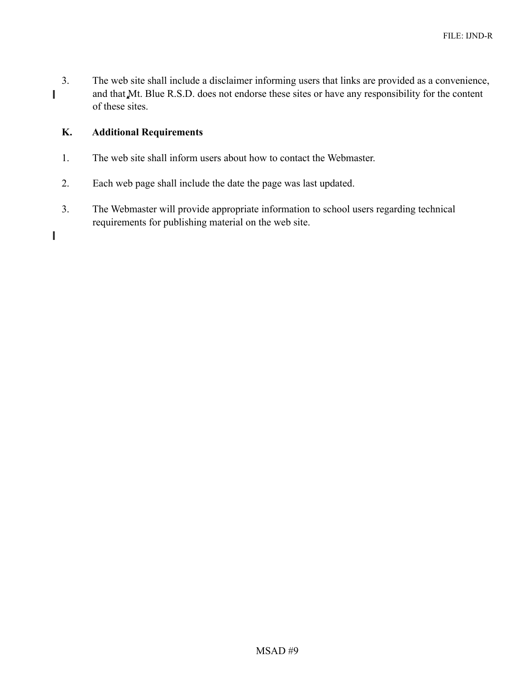3. The web site shall include a disclaimer informing users that links are provided as a convenience, and that Mt. Blue R.S.D. does not endorse these sites or have any responsibility for the content I of these sites.

## **K. Additional Requirements**

- 1. The web site shall inform users about how to contact the Webmaster.
- 2. Each web page shall include the date the page was last updated.
- 3. The Webmaster will provide appropriate information to school users regarding technical requirements for publishing material on the web site.